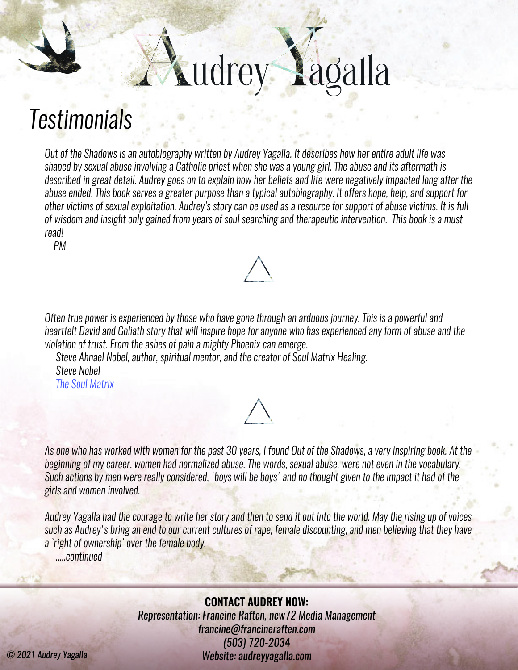## udrey Lagalla

## *Testimonials*

*Out of the Shadows is an autobiography written by Audrey Yagalla. It describes how her entire adult life was shaped by sexual abuse involving a Catholic priest when she was a young girl. The abuse and its aftermath is described in great detail. Audrey goes on to explain how her beliefs and life were negatively impacted long after the abuse ended. This book serves a greater purpose than a typical autobiography. It offers hope, help, and support for other victims of sexual exploitation. Audrey's story can be used as a resource for support of abuse victims. It is full of wisdom and insight only gained from years of soul searching and therapeutic intervention. This book is a must read!*

 *PM*

*Often true power is experienced by those who have gone through an arduous journey. This is a powerful and heartfelt David and Goliath story that will inspire hope for anyone who has experienced any form of abuse and the violation of trust. From the ashes of pain a mighty Phoenix can emerge.* 

 *Steve Ahnael Nobel, author, spiritual mentor, and the creator of Soul Matrix Healing. Steve Nobel [The Soul Matrix](https://thesoulmatrix.com/)*



*Audrey Yagalla had the courage to write her story and then to send it out into the world. May the rising up of voices such as Audrey's bring an end to our current cultures of rape, female discounting, and men believing that they have a `right of ownership` over the female body.*

 *.....continued*

**CONTACT AUDREY NOW:** *Representation: Francine Raften, [new72 Media Management](https://www.new72media.com/brandingmediamanagement) francine@francineraften.com (503) 720-2034 © 2021 Audrey Yagalla Website: [audreyyagalla.com](https://www.audreyyagalla.com)*